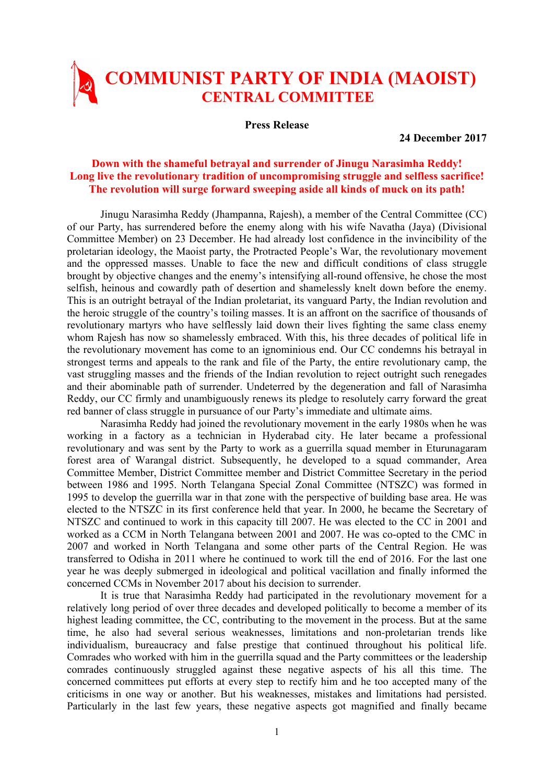## **COMMUNIST PARTY OF INDIA (MAOIST) CENTRAL COMMITTEE**

**Press Release** 

**24 December 2017** 

## **Down with the shameful betrayal and surrender of Jinugu Narasimha Reddy! Long live the revolutionary tradition of uncompromising struggle and selfless sacrifice! The revolution will surge forward sweeping aside all kinds of muck on its path!**

Jinugu Narasimha Reddy (Jhampanna, Rajesh), a member of the Central Committee (CC) of our Party, has surrendered before the enemy along with his wife Navatha (Jaya) (Divisional Committee Member) on 23 December. He had already lost confidence in the invincibility of the proletarian ideology, the Maoist party, the Protracted People's War, the revolutionary movement and the oppressed masses. Unable to face the new and difficult conditions of class struggle brought by objective changes and the enemy's intensifying all-round offensive, he chose the most selfish, heinous and cowardly path of desertion and shamelessly knelt down before the enemy. This is an outright betrayal of the Indian proletariat, its vanguard Party, the Indian revolution and the heroic struggle of the country's toiling masses. It is an affront on the sacrifice of thousands of revolutionary martyrs who have selflessly laid down their lives fighting the same class enemy whom Rajesh has now so shamelessly embraced. With this, his three decades of political life in the revolutionary movement has come to an ignominious end. Our CC condemns his betrayal in strongest terms and appeals to the rank and file of the Party, the entire revolutionary camp, the vast struggling masses and the friends of the Indian revolution to reject outright such renegades and their abominable path of surrender. Undeterred by the degeneration and fall of Narasimha Reddy, our CC firmly and unambiguously renews its pledge to resolutely carry forward the great red banner of class struggle in pursuance of our Party's immediate and ultimate aims.

Narasimha Reddy had joined the revolutionary movement in the early 1980s when he was working in a factory as a technician in Hyderabad city. He later became a professional revolutionary and was sent by the Party to work as a guerrilla squad member in Eturunagaram forest area of Warangal district. Subsequently, he developed to a squad commander, Area Committee Member, District Committee member and District Committee Secretary in the period between 1986 and 1995. North Telangana Special Zonal Committee (NTSZC) was formed in 1995 to develop the guerrilla war in that zone with the perspective of building base area. He was elected to the NTSZC in its first conference held that year. In 2000, he became the Secretary of NTSZC and continued to work in this capacity till 2007. He was elected to the CC in 2001 and worked as a CCM in North Telangana between 2001 and 2007. He was co-opted to the CMC in 2007 and worked in North Telangana and some other parts of the Central Region. He was transferred to Odisha in 2011 where he continued to work till the end of 2016. For the last one year he was deeply submerged in ideological and political vacillation and finally informed the concerned CCMs in November 2017 about his decision to surrender.

It is true that Narasimha Reddy had participated in the revolutionary movement for a relatively long period of over three decades and developed politically to become a member of its highest leading committee, the CC, contributing to the movement in the process. But at the same time, he also had several serious weaknesses, limitations and non-proletarian trends like individualism, bureaucracy and false prestige that continued throughout his political life. Comrades who worked with him in the guerrilla squad and the Party committees or the leadership comrades continuously struggled against these negative aspects of his all this time. The concerned committees put efforts at every step to rectify him and he too accepted many of the criticisms in one way or another. But his weaknesses, mistakes and limitations had persisted. Particularly in the last few years, these negative aspects got magnified and finally became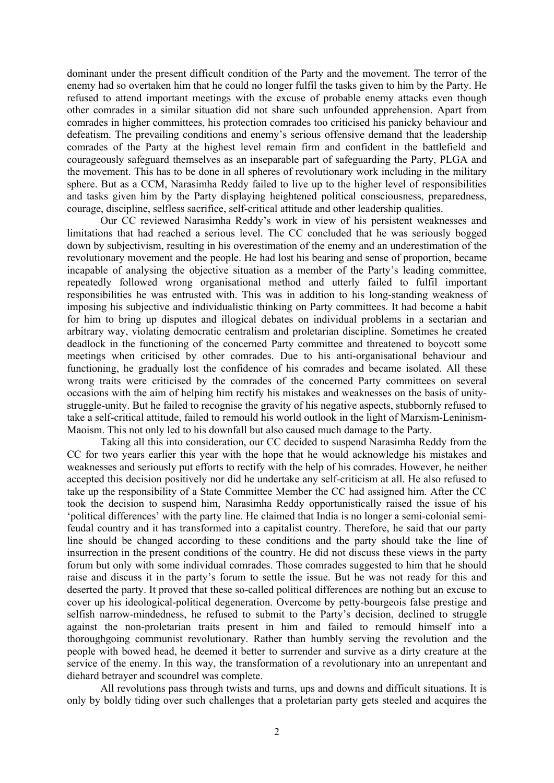dominant under the present difficult condition of the Party and the movement. The terror of the enemy had so overtaken him that he could no longer fulfil the tasks given to him by the Party. He refused to attend important meetings with the excuse of probable enemy attacks even though other comrades in a similar situation did not share such unfounded apprehension. Apart from comrades in higher committees, his protection comrades too criticised his panicky behaviour and defeatism. The prevailing conditions and enemy's serious offensive demand that the leadership comrades of the Party at the highest level remain firm and confident in the battlefield and courageously safeguard themselves as an inseparable part of safeguarding the Party, PLGA and the movement. This has to be done in all spheres of revolutionary work including in the military sphere. But as a CCM, Narasimha Reddy failed to live up to the higher level of responsibilities and tasks given him by the Party displaying heightened political consciousness, preparedness, courage, discipline, selfless sacrifice, self-critical attitude and other leadership qualities.

Our CC reviewed Narasimha Reddy's work in view of his persistent weaknesses and limitations that had reached a serious level. The CC concluded that he was seriously bogged down by subjectivism, resulting in his overestimation of the enemy and an underestimation of the revolutionary movement and the people. He had lost his bearing and sense of proportion, became incapable of analysing the objective situation as a member of the Party's leading committee, repeatedly followed wrong organisational method and utterly failed to fulfil important responsibilities he was entrusted with. This was in addition to his long-standing weakness of imposing his subjective and individualistic thinking on Party committees. It had become a habit for him to bring up disputes and illogical debates on individual problems in a sectarian and arbitrary way, violating democratic centralism and proletarian discipline. Sometimes he created deadlock in the functioning of the concerned Party committee and threatened to boycott some meetings when criticised by other comrades. Due to his anti-organisational behaviour and functioning, he gradually lost the confidence of his comrades and became isolated. All these wrong traits were criticised by the comrades of the concerned Party committees on several occasions with the aim of helping him rectify his mistakes and weaknesses on the basis of unitystruggle-unity. But he failed to recognise the gravity of his negative aspects, stubbornly refused to take a self-critical attitude, failed to remould his world outlook in the light of Marxism-Leninism-Maoism. This not only led to his downfall but also caused much damage to the Party.

Taking all this into consideration, our CC decided to suspend Narasimha Reddy from the CC for two years earlier this year with the hope that he would acknowledge his mistakes and weaknesses and seriously put efforts to rectify with the help of his comrades. However, he neither accepted this decision positively nor did he undertake any self-criticism at all. He also refused to take up the responsibility of a State Committee Member the CC had assigned him. After the CC took the decision to suspend him, Narasimha Reddy opportunistically raised the issue of his 'political differences' with the party line. He claimed that India is no longer a semi-colonial semifeudal country and it has transformed into a capitalist country. Therefore, he said that our party line should be changed according to these conditions and the party should take the line of insurrection in the present conditions of the country. He did not discuss these views in the party forum but only with some individual comrades. Those comrades suggested to him that he should raise and discuss it in the party's forum to settle the issue. But he was not ready for this and deserted the party. It proved that these so-called political differences are nothing but an excuse to cover up his ideological-political degeneration. Overcome by petty-bourgeois false prestige and selfish narrow-mindedness, he refused to submit to the Party's decision, declined to struggle against the non-proletarian traits present in him and failed to remould himself into a thoroughgoing communist revolutionary. Rather than humbly serving the revolution and the people with bowed head, he deemed it better to surrender and survive as a dirty creature at the service of the enemy. In this way, the transformation of a revolutionary into an unrepentant and diehard betrayer and scoundrel was complete.

All revolutions pass through twists and turns, ups and downs and difficult situations. It is only by boldly tiding over such challenges that a proletarian party gets steeled and acquires the